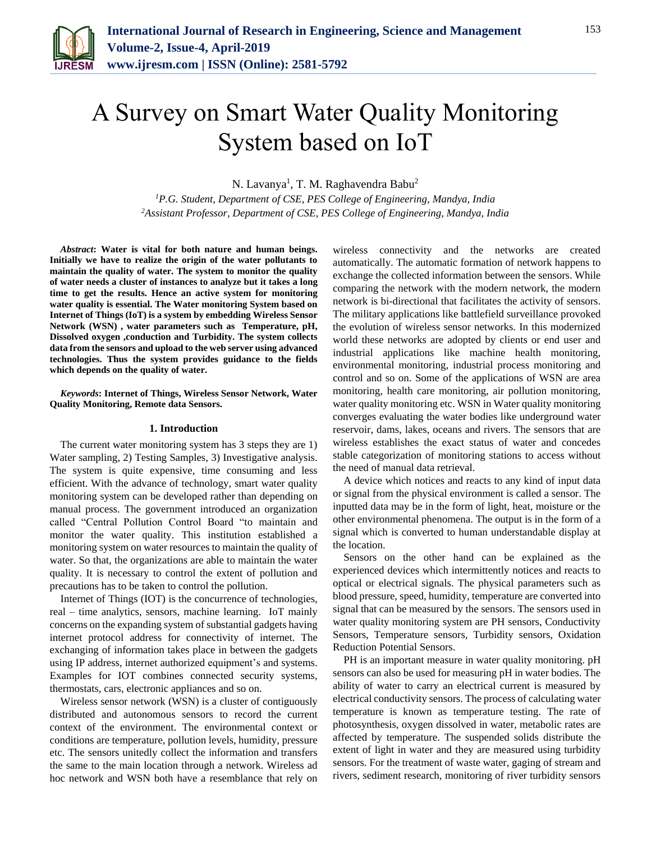

# A Survey on Smart Water Quality Monitoring System based on IoT

N. Lavanya<sup>1</sup>, T. M. Raghavendra Babu<sup>2</sup>

*<sup>1</sup>P.G. Student, Department of CSE, PES College of Engineering, Mandya, India 2Assistant Professor, Department of CSE, PES College of Engineering, Mandya, India*

*Abstract***: Water is vital for both nature and human beings. Initially we have to realize the origin of the water pollutants to maintain the quality of water. The system to monitor the quality of water needs a cluster of instances to analyze but it takes a long time to get the results. Hence an active system for monitoring water quality is essential. The Water monitoring System based on Internet of Things (IoT) is a system by embedding Wireless Sensor Network (WSN) , water parameters such as Temperature, pH, Dissolved oxygen ,conduction and Turbidity. The system collects data from the sensors and upload to the web server using advanced technologies. Thus the system provides guidance to the fields which depends on the quality of water.**

*Keywords***: Internet of Things, Wireless Sensor Network, Water Quality Monitoring, Remote data Sensors.**

## **1. Introduction**

The current water monitoring system has 3 steps they are 1) Water sampling, 2) Testing Samples, 3) Investigative analysis. The system is quite expensive, time consuming and less efficient. With the advance of technology, smart water quality monitoring system can be developed rather than depending on manual process. The government introduced an organization called "Central Pollution Control Board "to maintain and monitor the water quality. This institution established a monitoring system on water resources to maintain the quality of water. So that, the organizations are able to maintain the water quality. It is necessary to control the extent of pollution and precautions has to be taken to control the pollution.

Internet of Things (IOT) is the concurrence of technologies, real – time analytics, sensors, machine learning. IoT mainly concerns on the expanding system of substantial gadgets having internet protocol address for connectivity of internet. The exchanging of information takes place in between the gadgets using IP address, internet authorized equipment's and systems. Examples for IOT combines connected security systems, thermostats, cars, electronic appliances and so on.

Wireless sensor network (WSN) is a cluster of contiguously distributed and autonomous sensors to record the current context of the environment. The environmental context or conditions are temperature, pollution levels, humidity, pressure etc. The sensors unitedly collect the information and transfers the same to the main location through a network. Wireless ad hoc network and WSN both have a resemblance that rely on

wireless connectivity and the networks are created automatically. The automatic formation of network happens to exchange the collected information between the sensors. While comparing the network with the modern network, the modern network is bi-directional that facilitates the activity of sensors. The military applications like battlefield surveillance provoked the evolution of wireless sensor networks. In this modernized world these networks are adopted by clients or end user and industrial applications like machine health monitoring, environmental monitoring, industrial process monitoring and control and so on. Some of the applications of WSN are area monitoring, health care monitoring, air pollution monitoring, water quality monitoring etc. WSN in Water quality monitoring converges evaluating the water bodies like underground water reservoir, dams, lakes, oceans and rivers. The sensors that are wireless establishes the exact status of water and concedes stable categorization of monitoring stations to access without the need of manual data retrieval.

A device which notices and reacts to any kind of input data or signal from the physical environment is called a sensor. The inputted data may be in the form of light, heat, moisture or the other environmental phenomena. The output is in the form of a signal which is converted to human understandable display at the location.

Sensors on the other hand can be explained as the experienced devices which intermittently notices and reacts to optical or electrical signals. The physical parameters such as blood pressure, speed, humidity, temperature are converted into signal that can be measured by the sensors. The sensors used in water quality monitoring system are PH sensors, Conductivity Sensors, Temperature sensors, Turbidity sensors, Oxidation Reduction Potential Sensors.

PH is an important measure in water quality monitoring. pH sensors can also be used for measuring pH in water bodies. The ability of water to carry an electrical current is measured by electrical conductivity sensors. The process of calculating water temperature is known as temperature testing. The rate of photosynthesis, oxygen dissolved in water, metabolic rates are affected by temperature. The suspended solids distribute the extent of light in water and they are measured using turbidity sensors. For the treatment of waste water, gaging of stream and rivers, sediment research, monitoring of river turbidity sensors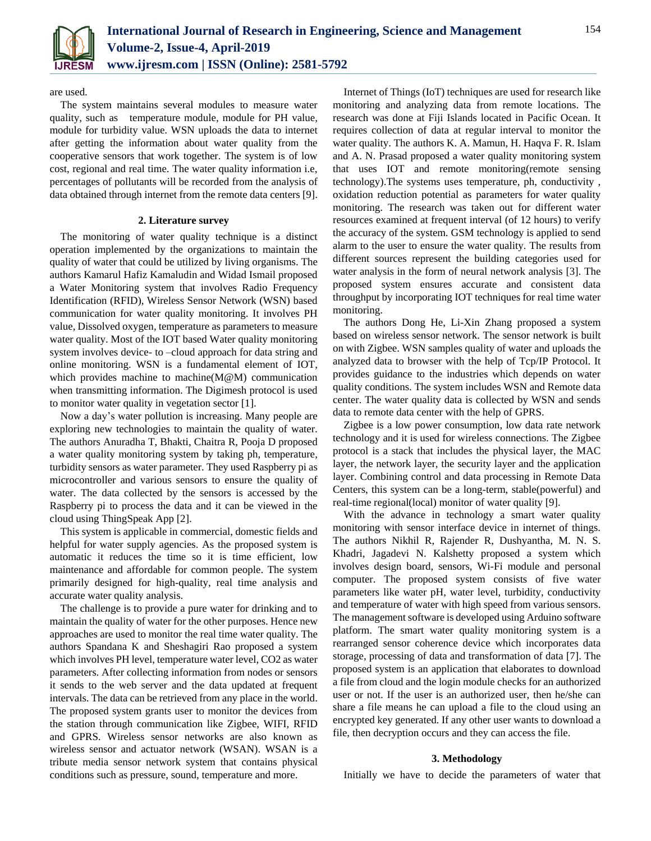

are used.

The system maintains several modules to measure water quality, such as temperature module, module for PH value, module for turbidity value. WSN uploads the data to internet after getting the information about water quality from the cooperative sensors that work together. The system is of low cost, regional and real time. The water quality information i.e, percentages of pollutants will be recorded from the analysis of data obtained through internet from the remote data centers [9].

## **2. Literature survey**

The monitoring of water quality technique is a distinct operation implemented by the organizations to maintain the quality of water that could be utilized by living organisms. The authors Kamarul Hafiz Kamaludin and Widad Ismail proposed a Water Monitoring system that involves Radio Frequency Identification (RFID), Wireless Sensor Network (WSN) based communication for water quality monitoring. It involves PH value, Dissolved oxygen, temperature as parameters to measure water quality. Most of the IOT based Water quality monitoring system involves device- to –cloud approach for data string and online monitoring. WSN is a fundamental element of IOT, which provides machine to machine(M@M) communication when transmitting information. The Digimesh protocol is used to monitor water quality in vegetation sector [1].

Now a day's water pollution is increasing. Many people are exploring new technologies to maintain the quality of water. The authors Anuradha T, Bhakti, Chaitra R, Pooja D proposed a water quality monitoring system by taking ph, temperature, turbidity sensors as water parameter. They used Raspberry pi as microcontroller and various sensors to ensure the quality of water. The data collected by the sensors is accessed by the Raspberry pi to process the data and it can be viewed in the cloud using ThingSpeak App [2].

This system is applicable in commercial, domestic fields and helpful for water supply agencies. As the proposed system is automatic it reduces the time so it is time efficient, low maintenance and affordable for common people. The system primarily designed for high-quality, real time analysis and accurate water quality analysis.

The challenge is to provide a pure water for drinking and to maintain the quality of water for the other purposes. Hence new approaches are used to monitor the real time water quality. The authors Spandana K and Sheshagiri Rao proposed a system which involves PH level, temperature water level, CO2 as water parameters. After collecting information from nodes or sensors it sends to the web server and the data updated at frequent intervals. The data can be retrieved from any place in the world. The proposed system grants user to monitor the devices from the station through communication like Zigbee, WIFI, RFID and GPRS. Wireless sensor networks are also known as wireless sensor and actuator network (WSAN). WSAN is a tribute media sensor network system that contains physical conditions such as pressure, sound, temperature and more.

Internet of Things (IoT) techniques are used for research like monitoring and analyzing data from remote locations. The research was done at Fiji Islands located in Pacific Ocean. It requires collection of data at regular interval to monitor the water quality. The authors K. A. Mamun, H. Haqva F. R. Islam and A. N. Prasad proposed a water quality monitoring system that uses IOT and remote monitoring(remote sensing technology).The systems uses temperature, ph, conductivity , oxidation reduction potential as parameters for water quality monitoring. The research was taken out for different water resources examined at frequent interval (of 12 hours) to verify the accuracy of the system. GSM technology is applied to send alarm to the user to ensure the water quality. The results from different sources represent the building categories used for water analysis in the form of neural network analysis [3]. The proposed system ensures accurate and consistent data throughput by incorporating IOT techniques for real time water monitoring.

The authors Dong He, Li-Xin Zhang proposed a system based on wireless sensor network. The sensor network is built on with Zigbee. WSN samples quality of water and uploads the analyzed data to browser with the help of Tcp/IP Protocol. It provides guidance to the industries which depends on water quality conditions. The system includes WSN and Remote data center. The water quality data is collected by WSN and sends data to remote data center with the help of GPRS.

Zigbee is a low power consumption, low data rate network technology and it is used for wireless connections. The Zigbee protocol is a stack that includes the physical layer, the MAC layer, the network layer, the security layer and the application layer. Combining control and data processing in Remote Data Centers, this system can be a long-term, stable(powerful) and real-time regional(local) monitor of water quality [9].

With the advance in technology a smart water quality monitoring with sensor interface device in internet of things. The authors Nikhil R, Rajender R, Dushyantha, M. N. S. Khadri, Jagadevi N. Kalshetty proposed a system which involves design board, sensors, Wi-Fi module and personal computer. The proposed system consists of five water parameters like water pH, water level, turbidity, conductivity and temperature of water with high speed from various sensors. The management software is developed using Arduino software platform. The smart water quality monitoring system is a rearranged sensor coherence device which incorporates data storage, processing of data and transformation of data [7]. The proposed system is an application that elaborates to download a file from cloud and the login module checks for an authorized user or not. If the user is an authorized user, then he/she can share a file means he can upload a file to the cloud using an encrypted key generated. If any other user wants to download a file, then decryption occurs and they can access the file.

#### **3. Methodology**

Initially we have to decide the parameters of water that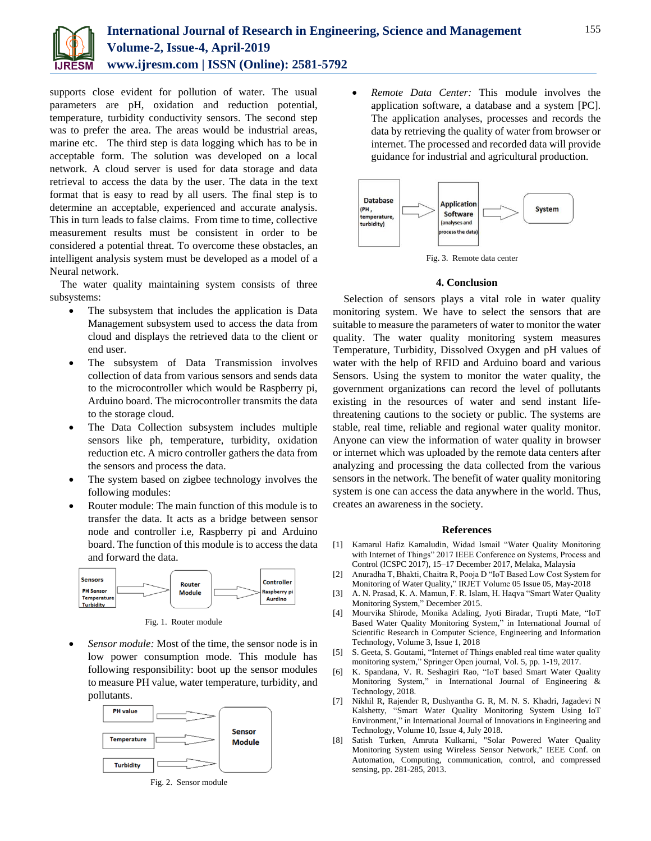supports close evident for pollution of water. The usual parameters are pH, oxidation and reduction potential, temperature, turbidity conductivity sensors. The second step was to prefer the area. The areas would be industrial areas, marine etc. The third step is data logging which has to be in acceptable form. The solution was developed on a local network. A cloud server is used for data storage and data retrieval to access the data by the user. The data in the text format that is easy to read by all users. The final step is to determine an acceptable, experienced and accurate analysis. This in turn leads to false claims. From time to time, collective measurement results must be consistent in order to be considered a potential threat. To overcome these obstacles, an intelligent analysis system must be developed as a model of a Neural network.

The water quality maintaining system consists of three subsystems:

- The subsystem that includes the application is Data Management subsystem used to access the data from cloud and displays the retrieved data to the client or end user.
- The subsystem of Data Transmission involves collection of data from various sensors and sends data to the microcontroller which would be Raspberry pi, Arduino board. The microcontroller transmits the data to the storage cloud.
- The Data Collection subsystem includes multiple sensors like ph, temperature, turbidity, oxidation reduction etc. A micro controller gathers the data from the sensors and process the data.
- The system based on zigbee technology involves the following modules:
- Router module: The main function of this module is to transfer the data. It acts as a bridge between sensor node and controller i.e, Raspberry pi and Arduino board. The function of this module is to access the data and forward the data.



Fig. 1. Router module

 *Sensor module:* Most of the time, the sensor node is in low power consumption mode. This module has following responsibility: boot up the sensor modules to measure PH value, water temperature, turbidity, and pollutants.



Fig. 2. Sensor module

 *Remote Data Center:* This module involves the application software, a database and a system [PC]. The application analyses, processes and records the data by retrieving the quality of water from browser or internet. The processed and recorded data will provide guidance for industrial and agricultural production.



Fig. 3. Remote data center

# **4. Conclusion**

Selection of sensors plays a vital role in water quality monitoring system. We have to select the sensors that are suitable to measure the parameters of water to monitor the water quality. The water quality monitoring system measures Temperature, Turbidity, Dissolved Oxygen and pH values of water with the help of RFID and Arduino board and various Sensors. Using the system to monitor the water quality, the government organizations can record the level of pollutants existing in the resources of water and send instant lifethreatening cautions to the society or public. The systems are stable, real time, reliable and regional water quality monitor. Anyone can view the information of water quality in browser or internet which was uploaded by the remote data centers after analyzing and processing the data collected from the various sensors in the network. The benefit of water quality monitoring system is one can access the data anywhere in the world. Thus, creates an awareness in the society.

## **References**

- [1] Kamarul Hafiz Kamaludin, Widad Ismail "Water Quality Monitoring with Internet of Things" 2017 IEEE Conference on Systems, Process and Control (ICSPC 2017), 15–17 December 2017, Melaka, Malaysia
- [2] Anuradha T, Bhakti, Chaitra R, Pooja D "IoT Based Low Cost System for Monitoring of Water Quality," IRJET Volume 05 Issue 05, May-2018
- [3] A. N. Prasad, K. A. Mamun, F. R. Islam, H. Haqva "Smart Water Quality Monitoring System," December 2015.
- [4] Mourvika Shirode, Monika Adaling, Jyoti Biradar, Trupti Mate, "IoT Based Water Quality Monitoring System," in International Journal of Scientific Research in Computer Science, Engineering and Information Technology, Volume 3, Issue 1, 2018
- [5] S. Geeta, S. Goutami, "Internet of Things enabled real time water quality monitoring system," Springer Open journal, Vol. 5, pp. 1-19, 2017.
- [6] K. Spandana, V. R. Seshagiri Rao, "IoT based Smart Water Quality Monitoring System," in International Journal of Engineering & Technology, 2018.
- [7] Nikhil R, Rajender R, Dushyantha G. R, M. N. S. Khadri, Jagadevi N Kalshetty, "Smart Water Quality Monitoring System Using IoT Environment," in International Journal of Innovations in Engineering and Technology, Volume 10, Issue 4, July 2018.
- [8] Satish Turken, Amruta Kulkarni, "Solar Powered Water Quality Monitoring System using Wireless Sensor Network," IEEE Conf. on Automation, Computing, communication, control, and compressed sensing, pp. 281-285, 2013.